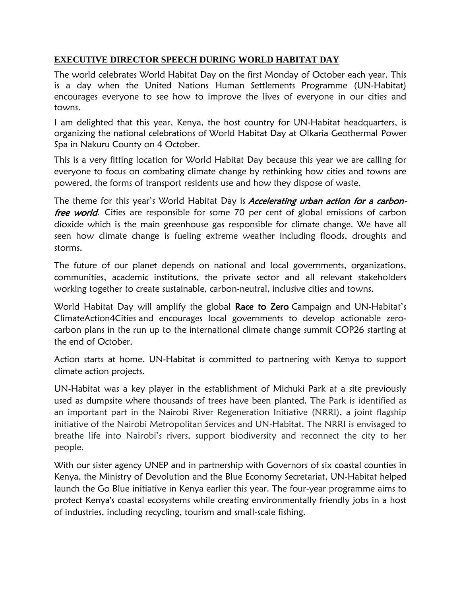## **EXECUTIVE DIRECTOR SPEECH DURING WORLD HABITAT DAY**

The world celebrates World Habitat Day on the first Monday of October each year. This is a day when the United Nations Human Settlements Programme (UN-Habitat) encourages everyone to see how to improve the lives of everyone in our cities and towns.

I am delighted that this year, Kenya, the host country for UN-Habitat headquarters, is organizing the national celebrations of World Habitat Day at Olkaria Geothermal Power Spa in Nakuru County on 4 October.

This is a very fitting location for World Habitat Day because this year we are calling for everyone to focus on combating climate change by rethinking how cities and towns are powered, the forms of transport residents use and how they dispose of waste.

The theme for this year's World Habitat Day is Accelerating urban action for a carbonfree world. Cities are responsible for some 70 per cent of global emissions of carbon dioxide which is the main greenhouse gas responsible for climate change. We have all seen how climate change is fueling extreme weather including floods, droughts and storms.

The future of our planet depends on national and local governments, organizations, communities, academic institutions, the private sector and all relevant stakeholders working together to create sustainable, carbon-neutral, inclusive cities and towns.

World Habitat Day will amplify the global Race to Zero Campaign and UN-Habitat's ClimateAction4Cities and encourages local governments to develop actionable zerocarbon plans in the run up to the international climate change summit COP26 starting at the end of October.

Action starts at home. UN-Habitat is committed to partnering with Kenya to support climate action projects.

UN-Habitat was a key player in the establishment of Michuki Park at a site previously used as dumpsite where thousands of trees have been planted. The Park is identified as an important part in the Nairobi River Regeneration Initiative (NRRI), a joint flagship initiative of the Nairobi Metropolitan Services and UN-Habitat. The NRRI is envisaged to breathe life into Nairobi's rivers, support biodiversity and reconnect the city to her people.

With our sister agency UNEP and in partnership with Governors of six coastal counties in Kenya, the Ministry of Devolution and the Blue Economy Secretariat, UN-Habitat helped launch the Go Blue initiative in Kenya earlier this year. The four-year programme aims to protect Kenya's coastal ecosystems while creating environmentally friendly jobs in a host of industries, including recycling, tourism and small-scale fishing.